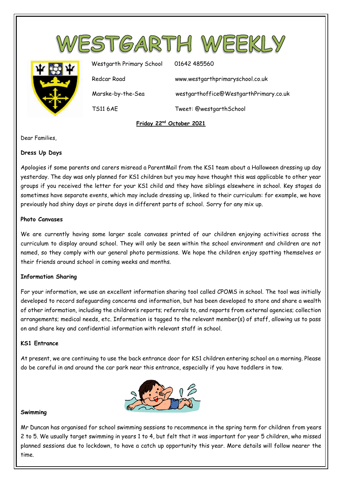

Dear Families,

# **Dress Up Days**

Apologies if some parents and carers misread a ParentMail from the KS1 team about a Halloween dressing up day yesterday. The day was only planned for KS1 children but you may have thought this was applicable to other year groups if you received the letter for your KS1 child and they have siblings elsewhere in school. Key stages do sometimes have separate events, which may include dressing up, linked to their curriculum: for example, we have previously had shiny days or pirate days in different parts of school. Sorry for any mix up.

# **Photo Canvases**

We are currently having some larger scale canvases printed of our children enjoying activities across the curriculum to display around school. They will only be seen within the school environment and children are not named, so they comply with our general photo permissions. We hope the children enjoy spotting themselves or their friends around school in coming weeks and months.

## **Information Sharing**

For your information, we use an excellent information sharing tool called CPOMS in school. The tool was initially developed to record safeguarding concerns and information, but has been developed to store and share a wealth of other information, including the children's reports; referrals to, and reports from external agencies; collection arrangements; medical needs, etc. Information is tagged to the relevant member(s) of staff, allowing us to pass on and share key and confidential information with relevant staff in school.

# **KS1 Entrance**

At present, we are continuing to use the back entrance door for KS1 children entering school on a morning. Please do be careful in and around the car park near this entrance, especially if you have toddlers in tow.



#### **Swimming**

Mr Duncan has organised for school swimming sessions to recommence in the spring term for children from years 2 to 5. We usually target swimming in years 1 to 4, but felt that it was important for year 5 children, who missed planned sessions due to lockdown, to have a catch up opportunity this year. More details will follow nearer the time.